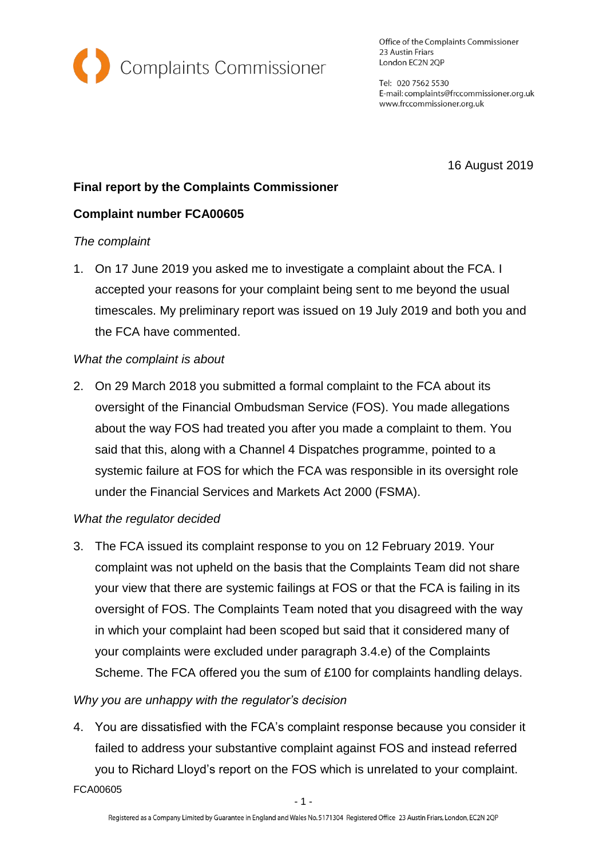

Office of the Complaints Commissioner 23 Austin Friars London EC2N 2QP

Tel: 020 7562 5530 E-mail: complaints@frccommissioner.org.uk www.frccommissioner.org.uk

16 August 2019

# **Final report by the Complaints Commissioner**

## **Complaint number FCA00605**

#### *The complaint*

1. On 17 June 2019 you asked me to investigate a complaint about the FCA. I accepted your reasons for your complaint being sent to me beyond the usual timescales. My preliminary report was issued on 19 July 2019 and both you and the FCA have commented.

## *What the complaint is about*

2. On 29 March 2018 you submitted a formal complaint to the FCA about its oversight of the Financial Ombudsman Service (FOS). You made allegations about the way FOS had treated you after you made a complaint to them. You said that this, along with a Channel 4 Dispatches programme, pointed to a systemic failure at FOS for which the FCA was responsible in its oversight role under the Financial Services and Markets Act 2000 (FSMA).

## *What the regulator decided*

3. The FCA issued its complaint response to you on 12 February 2019. Your complaint was not upheld on the basis that the Complaints Team did not share your view that there are systemic failings at FOS or that the FCA is failing in its oversight of FOS. The Complaints Team noted that you disagreed with the way in which your complaint had been scoped but said that it considered many of your complaints were excluded under paragraph 3.4.e) of the Complaints Scheme. The FCA offered you the sum of £100 for complaints handling delays.

## *Why you are unhappy with the regulator's decision*

4. You are dissatisfied with the FCA's complaint response because you consider it failed to address your substantive complaint against FOS and instead referred you to Richard Lloyd's report on the FOS which is unrelated to your complaint.

FCA00605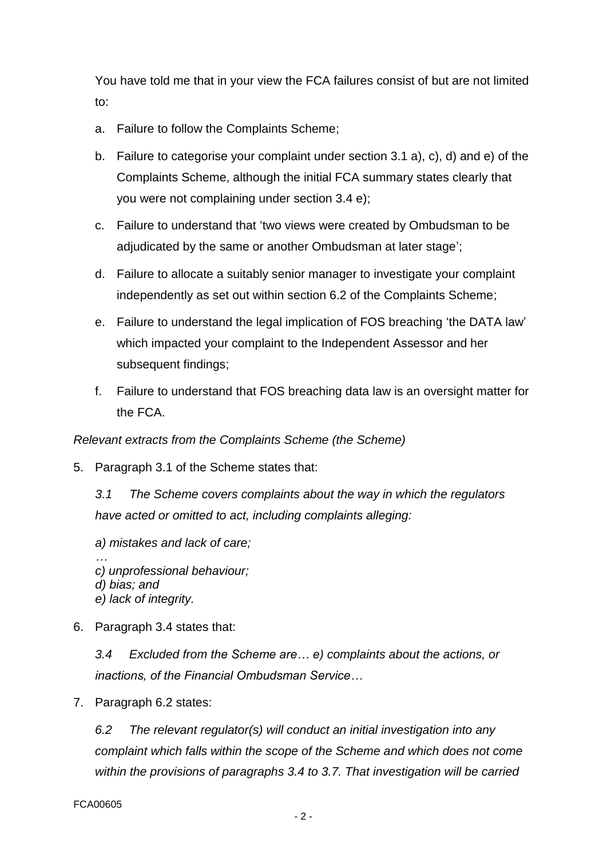You have told me that in your view the FCA failures consist of but are not limited to:

- a. Failure to follow the Complaints Scheme;
- b. Failure to categorise your complaint under section 3.1 a), c), d) and e) of the Complaints Scheme, although the initial FCA summary states clearly that you were not complaining under section 3.4 e);
- c. Failure to understand that 'two views were created by Ombudsman to be adjudicated by the same or another Ombudsman at later stage';
- d. Failure to allocate a suitably senior manager to investigate your complaint independently as set out within section 6.2 of the Complaints Scheme;
- e. Failure to understand the legal implication of FOS breaching 'the DATA law' which impacted your complaint to the Independent Assessor and her subsequent findings;
- f. Failure to understand that FOS breaching data law is an oversight matter for the FCA.

## *Relevant extracts from the Complaints Scheme (the Scheme)*

5. Paragraph 3.1 of the Scheme states that:

*3.1 The Scheme covers complaints about the way in which the regulators have acted or omitted to act, including complaints alleging:*

- *a) mistakes and lack of care; … c) unprofessional behaviour; d) bias; and e) lack of integrity.*
- 6. Paragraph 3.4 states that:

*3.4 Excluded from the Scheme are… e) complaints about the actions, or inactions, of the Financial Ombudsman Service…*

7. Paragraph 6.2 states:

*6.2 The relevant regulator(s) will conduct an initial investigation into any complaint which falls within the scope of the Scheme and which does not come within the provisions of paragraphs 3.4 to 3.7. That investigation will be carried*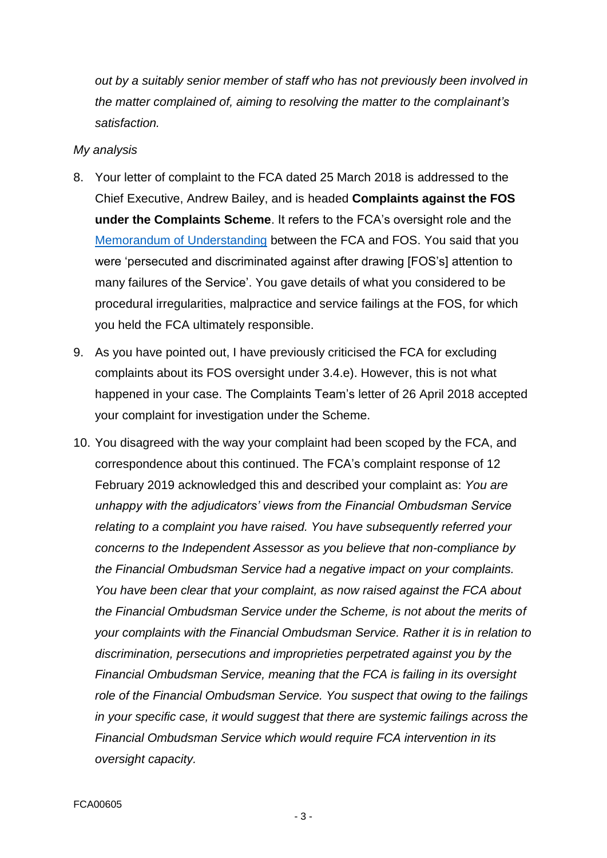*out by a suitably senior member of staff who has not previously been involved in the matter complained of, aiming to resolving the matter to the complainant's satisfaction.*

#### *My analysis*

- 8. Your letter of complaint to the FCA dated 25 March 2018 is addressed to the Chief Executive, Andrew Bailey, and is headed **Complaints against the FOS under the Complaints Scheme**. It refers to the FCA's oversight role and the [Memorandum of Understanding](https://www.fca.org.uk/publication/mou/mou-fos.pdf) between the FCA and FOS. You said that you were 'persecuted and discriminated against after drawing [FOS's] attention to many failures of the Service'. You gave details of what you considered to be procedural irregularities, malpractice and service failings at the FOS, for which you held the FCA ultimately responsible.
- 9. As you have pointed out, I have previously criticised the FCA for excluding complaints about its FOS oversight under 3.4.e). However, this is not what happened in your case. The Complaints Team's letter of 26 April 2018 accepted your complaint for investigation under the Scheme.
- 10. You disagreed with the way your complaint had been scoped by the FCA, and correspondence about this continued. The FCA's complaint response of 12 February 2019 acknowledged this and described your complaint as: *You are unhappy with the adjudicators' views from the Financial Ombudsman Service relating to a complaint you have raised. You have subsequently referred your concerns to the Independent Assessor as you believe that non-compliance by the Financial Ombudsman Service had a negative impact on your complaints. You have been clear that your complaint, as now raised against the FCA about the Financial Ombudsman Service under the Scheme, is not about the merits of your complaints with the Financial Ombudsman Service. Rather it is in relation to discrimination, persecutions and improprieties perpetrated against you by the Financial Ombudsman Service, meaning that the FCA is failing in its oversight role of the Financial Ombudsman Service. You suspect that owing to the failings in your specific case, it would suggest that there are systemic failings across the Financial Ombudsman Service which would require FCA intervention in its oversight capacity.*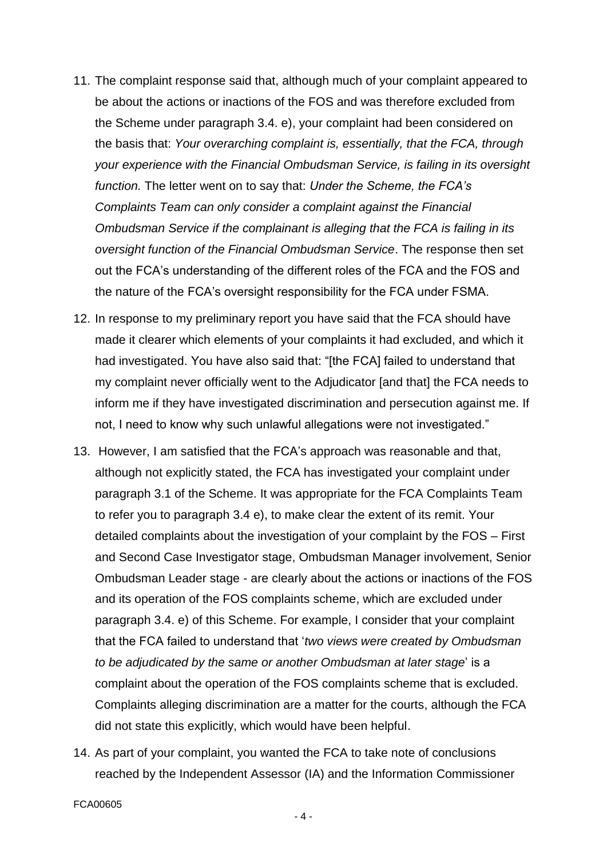- 11. The complaint response said that, although much of your complaint appeared to be about the actions or inactions of the FOS and was therefore excluded from the Scheme under paragraph 3.4. e), your complaint had been considered on the basis that: *Your overarching complaint is, essentially, that the FCA, through your experience with the Financial Ombudsman Service, is failing in its oversight function.* The letter went on to say that: *Under the Scheme, the FCA's Complaints Team can only consider a complaint against the Financial Ombudsman Service if the complainant is alleging that the FCA is failing in its oversight function of the Financial Ombudsman Service*. The response then set out the FCA's understanding of the different roles of the FCA and the FOS and the nature of the FCA's oversight responsibility for the FCA under FSMA.
- 12. In response to my preliminary report you have said that the FCA should have made it clearer which elements of your complaints it had excluded, and which it had investigated. You have also said that: "[the FCA] failed to understand that my complaint never officially went to the Adjudicator [and that] the FCA needs to inform me if they have investigated discrimination and persecution against me. If not, I need to know why such unlawful allegations were not investigated."
- 13. However, I am satisfied that the FCA's approach was reasonable and that, although not explicitly stated, the FCA has investigated your complaint under paragraph 3.1 of the Scheme. It was appropriate for the FCA Complaints Team to refer you to paragraph 3.4 e), to make clear the extent of its remit. Your detailed complaints about the investigation of your complaint by the FOS – First and Second Case Investigator stage, Ombudsman Manager involvement, Senior Ombudsman Leader stage - are clearly about the actions or inactions of the FOS and its operation of the FOS complaints scheme, which are excluded under paragraph 3.4. e) of this Scheme. For example, I consider that your complaint that the FCA failed to understand that '*two views were created by Ombudsman to be adjudicated by the same or another Ombudsman at later stage*' is a complaint about the operation of the FOS complaints scheme that is excluded. Complaints alleging discrimination are a matter for the courts, although the FCA did not state this explicitly, which would have been helpful.
- 14. As part of your complaint, you wanted the FCA to take note of conclusions reached by the Independent Assessor (IA) and the Information Commissioner

- 4 -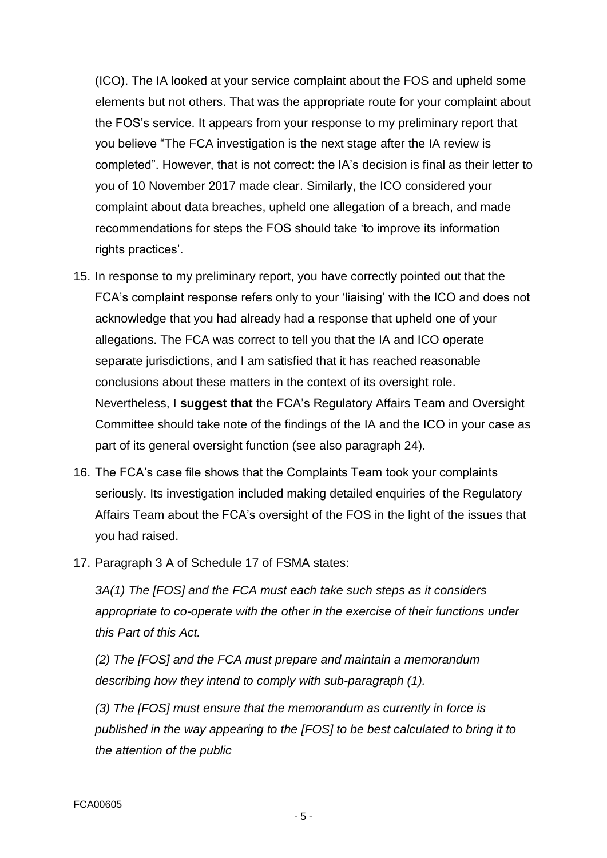(ICO). The IA looked at your service complaint about the FOS and upheld some elements but not others. That was the appropriate route for your complaint about the FOS's service. It appears from your response to my preliminary report that you believe "The FCA investigation is the next stage after the IA review is completed". However, that is not correct: the IA's decision is final as their letter to you of 10 November 2017 made clear. Similarly, the ICO considered your complaint about data breaches, upheld one allegation of a breach, and made recommendations for steps the FOS should take 'to improve its information rights practices'.

- 15. In response to my preliminary report, you have correctly pointed out that the FCA's complaint response refers only to your 'liaising' with the ICO and does not acknowledge that you had already had a response that upheld one of your allegations. The FCA was correct to tell you that the IA and ICO operate separate jurisdictions, and I am satisfied that it has reached reasonable conclusions about these matters in the context of its oversight role. Nevertheless, I **suggest that** the FCA's Regulatory Affairs Team and Oversight Committee should take note of the findings of the IA and the ICO in your case as part of its general oversight function (see also paragraph 24).
- 16. The FCA's case file shows that the Complaints Team took your complaints seriously. Its investigation included making detailed enquiries of the Regulatory Affairs Team about the FCA's oversight of the FOS in the light of the issues that you had raised.
- 17. Paragraph 3 A of Schedule 17 of FSMA states:

*3A(1) The [FOS] and the FCA must each take such steps as it considers appropriate to co-operate with the other in the exercise of their functions under this Part of this Act.*

*(2) The [FOS] and the FCA must prepare and maintain a memorandum describing how they intend to comply with sub-paragraph (1).*

*(3) The [FOS] must ensure that the memorandum as currently in force is published in the way appearing to the [FOS] to be best calculated to bring it to the attention of the public*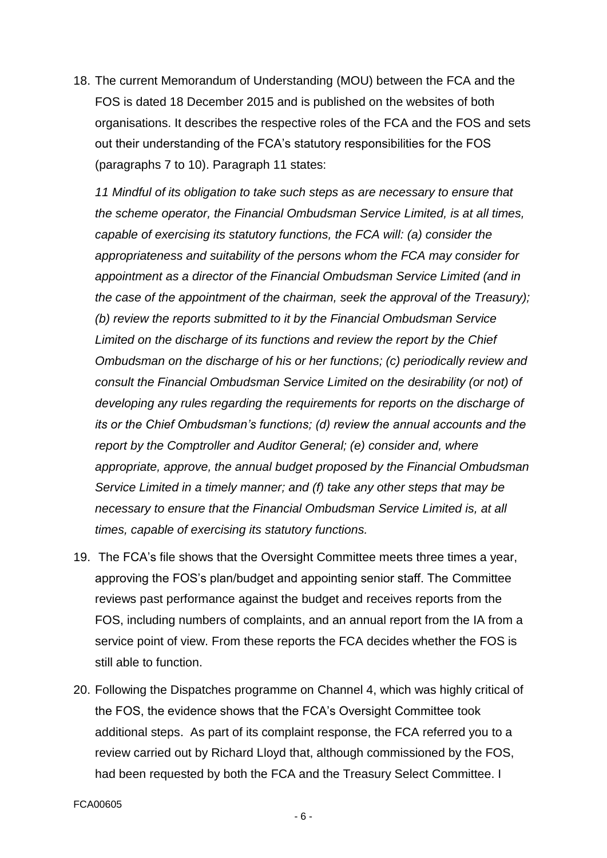18. The current Memorandum of Understanding (MOU) between the FCA and the FOS is dated 18 December 2015 and is published on the websites of both organisations. It describes the respective roles of the FCA and the FOS and sets out their understanding of the FCA's statutory responsibilities for the FOS (paragraphs 7 to 10). Paragraph 11 states:

*11 Mindful of its obligation to take such steps as are necessary to ensure that the scheme operator, the Financial Ombudsman Service Limited, is at all times, capable of exercising its statutory functions, the FCA will: (a) consider the appropriateness and suitability of the persons whom the FCA may consider for appointment as a director of the Financial Ombudsman Service Limited (and in the case of the appointment of the chairman, seek the approval of the Treasury); (b) review the reports submitted to it by the Financial Ombudsman Service Limited on the discharge of its functions and review the report by the Chief Ombudsman on the discharge of his or her functions; (c) periodically review and consult the Financial Ombudsman Service Limited on the desirability (or not) of developing any rules regarding the requirements for reports on the discharge of its or the Chief Ombudsman's functions; (d) review the annual accounts and the report by the Comptroller and Auditor General; (e) consider and, where appropriate, approve, the annual budget proposed by the Financial Ombudsman Service Limited in a timely manner; and (f) take any other steps that may be necessary to ensure that the Financial Ombudsman Service Limited is, at all times, capable of exercising its statutory functions.* 

- 19. The FCA's file shows that the Oversight Committee meets three times a year, approving the FOS's plan/budget and appointing senior staff. The Committee reviews past performance against the budget and receives reports from the FOS, including numbers of complaints, and an annual report from the IA from a service point of view. From these reports the FCA decides whether the FOS is still able to function.
- 20. Following the Dispatches programme on Channel 4, which was highly critical of the FOS, the evidence shows that the FCA's Oversight Committee took additional steps. As part of its complaint response, the FCA referred you to a review carried out by Richard Lloyd that, although commissioned by the FOS, had been requested by both the FCA and the Treasury Select Committee. I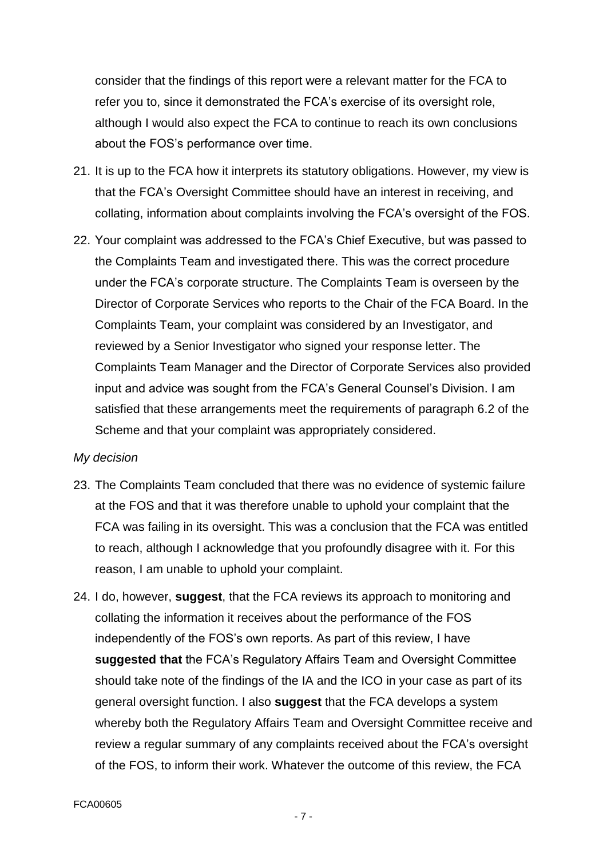consider that the findings of this report were a relevant matter for the FCA to refer you to, since it demonstrated the FCA's exercise of its oversight role, although I would also expect the FCA to continue to reach its own conclusions about the FOS's performance over time.

- 21. It is up to the FCA how it interprets its statutory obligations. However, my view is that the FCA's Oversight Committee should have an interest in receiving, and collating, information about complaints involving the FCA's oversight of the FOS.
- 22. Your complaint was addressed to the FCA's Chief Executive, but was passed to the Complaints Team and investigated there. This was the correct procedure under the FCA's corporate structure. The Complaints Team is overseen by the Director of Corporate Services who reports to the Chair of the FCA Board. In the Complaints Team, your complaint was considered by an Investigator, and reviewed by a Senior Investigator who signed your response letter. The Complaints Team Manager and the Director of Corporate Services also provided input and advice was sought from the FCA's General Counsel's Division. I am satisfied that these arrangements meet the requirements of paragraph 6.2 of the Scheme and that your complaint was appropriately considered.

#### *My decision*

- 23. The Complaints Team concluded that there was no evidence of systemic failure at the FOS and that it was therefore unable to uphold your complaint that the FCA was failing in its oversight. This was a conclusion that the FCA was entitled to reach, although I acknowledge that you profoundly disagree with it. For this reason, I am unable to uphold your complaint.
- 24. I do, however, **suggest**, that the FCA reviews its approach to monitoring and collating the information it receives about the performance of the FOS independently of the FOS's own reports. As part of this review, I have **suggested that** the FCA's Regulatory Affairs Team and Oversight Committee should take note of the findings of the IA and the ICO in your case as part of its general oversight function. I also **suggest** that the FCA develops a system whereby both the Regulatory Affairs Team and Oversight Committee receive and review a regular summary of any complaints received about the FCA's oversight of the FOS, to inform their work. Whatever the outcome of this review, the FCA